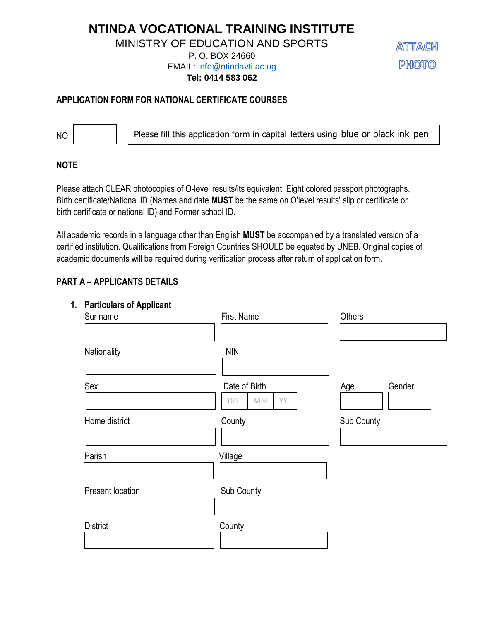# **NTINDA VOCATIONAL TRAINING INSTITUTE**

MINISTRY OF EDUCATION AND SPORTS

P. O. BOX 24660 EMAIL: [info@ntindavti.ac.ug](mailto:info@ntindavti.ac.ug)

**Tel: 0414 583 062**

ATTACH **PHOTO** 

## **APPLICATION FORM FOR NATIONAL CERTIFICATE COURSES**

Please fill this application form in capital letters using blue or black ink pen

#### **NOTE**

NO

Please attach CLEAR photocopies of O-level results/its equivalent, Eight colored passport photographs, Birth certificate/National ID (Names and date **MUST** be the same on O'level results' slip or certificate or birth certificate or national ID) and Former school ID.

All academic records in a language other than English **MUST** be accompanied by a translated version of a certified institution. Qualifications from Foreign Countries SHOULD be equated by UNEB. Original copies of academic documents will be required during verification process after return of application form.

## **PART A – APPLICANTS DETAILS**

#### **1. Particulars of Applicant**

| . .<br>Sur name  | <b>First Name</b>                                   | Others        |
|------------------|-----------------------------------------------------|---------------|
|                  |                                                     |               |
| Nationality      | <b>NIN</b>                                          |               |
| Sex              | Date of Birth<br>YY<br>$\textsf{M}\textsf{M}$<br>DD | Gender<br>Age |
| Home district    | County                                              | Sub County    |
|                  |                                                     |               |
| Parish           | Village                                             |               |
|                  |                                                     |               |
| Present location | Sub County                                          |               |
|                  |                                                     |               |
| <b>District</b>  | County                                              |               |
|                  |                                                     |               |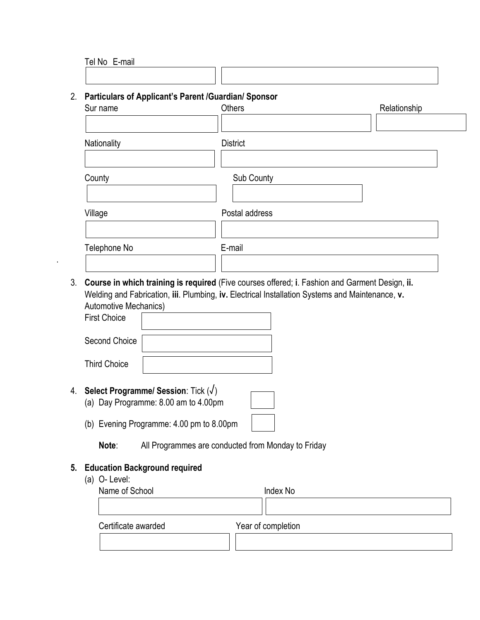| $\overline{\phantom{0}}$<br>E-mail<br>Tel No<br>$\sim$ $\sim$ |  |
|---------------------------------------------------------------|--|
|                                                               |  |
|                                                               |  |

## 2. **Particulars of Applicant's Parent /Guardian/ Sponsor**

| Sur name     | Others          | Relationship |
|--------------|-----------------|--------------|
|              |                 |              |
| Nationality  | <b>District</b> |              |
|              |                 |              |
| County       | Sub County      |              |
|              |                 |              |
| Village      | Postal address  |              |
|              |                 |              |
| Telephone No | E-mail          |              |
|              |                 |              |

3. **Course in which training is required** (Five courses offered; **i**. Fashion and Garment Design, **ii.** Welding and Fabrication, **iii**. Plumbing, **iv.** Electrical Installation Systems and Maintenance, **v.** Automotive Mechanics)

| <b>First Choice</b> |  |
|---------------------|--|
| Second Choice       |  |
| <b>Third Choice</b> |  |

- 4. **Select Programme/ Session**: Tick (√)
	- (a) Day Programme: 8.00 am to 4.00pm
	- (b) Evening Programme: 4.00 pm to 8.00pm

**Note**: All Programmes are conducted from Monday to Friday

## **5. Education Background required**

(a) O- Level:

.

| Name of School      | Index No           |  |
|---------------------|--------------------|--|
|                     |                    |  |
| Certificate awarded | Year of completion |  |
|                     |                    |  |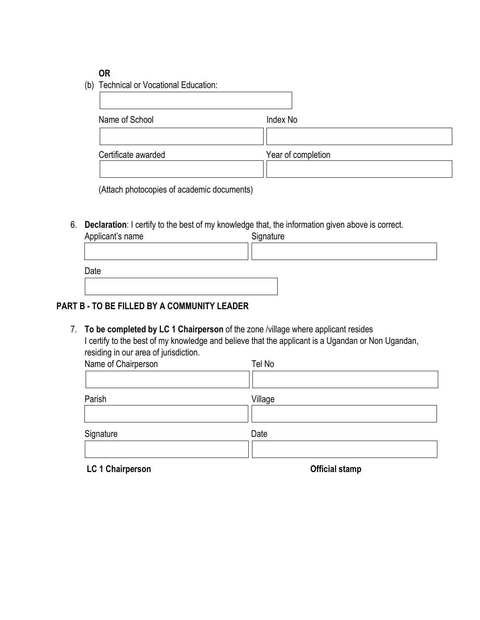## **OR**

(b) Technical or Vocational Education:

| Name of School      | Index No           |
|---------------------|--------------------|
|                     |                    |
| Certificate awarded | Year of completion |
|                     |                    |

(Attach photocopies of academic documents)

6. **Declaration**: I certify to the best of my knowledge that, the information given above is correct.

| Applicant's name | Signature |
|------------------|-----------|
|                  |           |
|                  |           |
| Date             |           |
|                  |           |
|                  |           |

# **PART B - TO BE FILLED BY A COMMUNITY LEADER**

7. **To be completed by LC 1 Chairperson** of the zone /village where applicant resides I certify to the best of my knowledge and believe that the applicant is a Ugandan or Non Ugandan, residing in our area of jurisdiction.

| Name of Chairperson | Tel No  |  |
|---------------------|---------|--|
|                     |         |  |
| Parish              | Village |  |
| Signature           | Date    |  |
|                     |         |  |

LC 1 Chairperson **Containers Containers Official stamp**